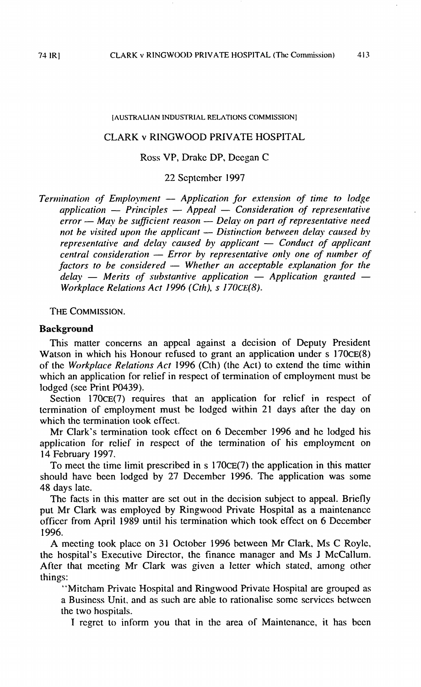#### **[AUSTRALIAN INDUSTRIAL RELATIONS COMMISSION]**

## CLARK v RINGWOOD PRIVATE HOSPITAL

## Ross VP, Drake DP, Dccgan C

## 22 September 1997

*Workplace Relations Act 1996 (Cth), s 170CE(8). definition of the consideration -- Error by representative only one of number of factors to be considered -- Whether an acceptable explanation for the delay -- Merits of substantive application -- Application granted --<br>W fuctors tepresentative* and *detay caused by applicant*  $-$  *Conduct of applicant central consideration*  $-$  *Error by representative only one of number of factors to be considered*  $-$  *Whether an acceptable explan central consideration - Error by applicant - Conduct of applicant central consideration* - *Error by representative only one of number of refor* — may be sufficient reason — Delay on part of representative net be visited upon the applicant — Distinction between delay caused representative and delay caused by applicant — Conduct of application between the sy *application* — Principles — Appeal — Consideration of representative<br>error — May be sufficient reason — Delay on part of representative need<br>not be visited upon the applicant — Distinction between delay caused by<br>nonprese *explication* -- *Principles* -- *Appeal* -- *Consideration of representative error* -- *May be sufficient reason* -- *Delay on part of representative need a*<br>*application* -- *Principles* -- *Application for extension of time to lodge*<br>*application* -- *Principles* -- *Appeal* -- *Consideration of representative Termination of Employment* -- *Application for extension of time to lodge*<br>*Termination of Employment* -- *Application for extension of time to lodge*<br>*Appel -- Consideration of representative* 

**THECOMMISSION.**

#### **Background**

lodged (see Print PO439). which an application for relief in respect of termination of employment must be of the *Workpluce Rehtions Act* 1996 (Cth) (the Act) to extend the timc within Watson in which his Honour refused to grant an application under  $s$  170 $CE(8)$ This matter concerns an appeal against a dccision of Deputy President

which the termination took **effect.** termination of employment must be lodged within 21 days after the day on Section 170CE(7) requires that an application for relief in respect of

I4 February 1997. application for relief in respect of the termination of his employment on Mr Clark's termination took effect on 6 December 1996 and he lodged his

48 days late. should havc been lodged by 27 December 1996. The application was some To meet the time limit prescribed in s 170cE(7) the application in this matter

1996. officcr from April 1989 until his termination which **took** effect on 6 Dcccmbcr **put** Mr Clark was employed by Ringwood Private Hospital as a maintenancc The facts in this matter are set out in the decision subject to appeal. Briefly

things: After that mceting Mr Clark was givcn a letter which stated. among other the hospital's Executive Director, the finance manager and Ms J McCallum. **A** mecting took place on 3 **<sup>1</sup>** Octobcr I996 between Mr Clark. **MSC** Roylc,

the two hospitals. a Business Unit, and as such are able to rationalise somc services bctwccn "Mitcham Private Hospital and Ringwood Private Hospital are grouped as

I regret to inform you that in the area of Maintenance, it has been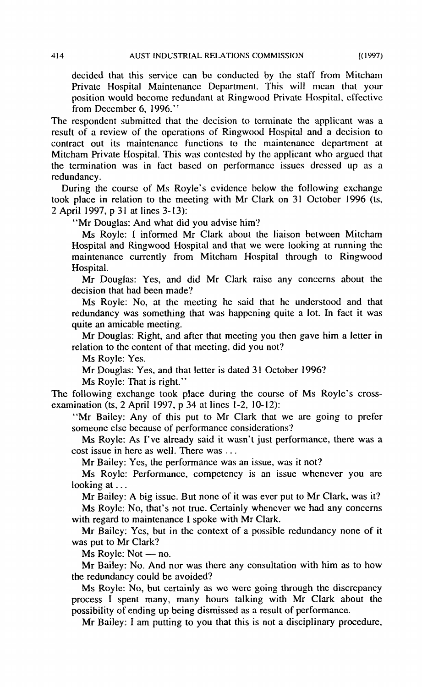from December 6, 1996." position would bccomc redundant at Ringwood Private Hospital, cffectivc Privatc Hospital Maintenancc Department. This will mean that your decided that this service can be conducted by the staff from Mitcham

redundancy. the termination was in fact based on performance issues dressed up as a Mitcham Private Hospital. This was contested by the applicant who argued that contract out its maintenance functions to the maintenance department at result of **a** review of the opcrations of Ringwood Hospital and a decision to The respondent submittcd that the decision to tcrminate the applicant was a

2 April 1997, p **3** <sup>1</sup> at lines **3-** 13): took place in relation to the meeting with Mr Clark on 31 October 1996 (ts, During the course of Ms Royle's evidence below the following exchange

"Mr Douglas: And what did you advise him?

Hospital. maintenancc currently from Mitcham Hospital through to Ringwood Hospital and Ringwood Hospital and that we were looking at running thc MS Roylc: I informcd Mr Clark about the liaison betwcen Mitcham

decision that had becn made? Mr Douglas: Yes, and did Mr Clark raise any concerns about the

quite an amicable mecting. redundancy was something that was happening quite a lot. In fact it was MS Royle: No, at the meeting he said that he understood and that

Mr Douglas: Right, and after that meeting you then gave him a letter in relation to the content of that meeting, did you not'?

MS Royle: Yes.

Mr Douglas: Yes. and that lctter is dated 31 October *1996?*

Ms Royle: That is right."

Thc following exchange took place during the coursc of MS Royle's crossexamination **(ts,** 2 April 1997, p 34 at lincs 1-2, **10-12):**

someone else because of performance considerations? "Mr Bailey: Any of this put to Mr Clark that we are going to prefer

Ms Royle: As I've already said it wasn't just performance, there was a cost issue in here as well. There was ...

Mr Bailey: Yes, the performance was an issue, was it not?

Ms Royle: Performance, competency is an issue whenever you are looking at ...

Mr Bailey: A big issue. But none of it was ever put to Mr Clark, was it? MS Roylc: No, that's not true. Certainly whencver we had any concerns with regard to maintenance I spoke with Mr Clark.

Mr Bailey: Yes, but in the context of a possible redundancy none of it was put to Mr Clark?

 $Ms$  Royle:  $Not$  - no.

the redundancy could be avoided'? Mr Bailey: No. And nor was thcre any consultation with him as to how

possibility of ending up being dismissed as a result of performance. process I spent many, many hours talking with Mr Clark about thc Ms Royle: No, but certainly as we were going through the discrepancy

Mr Bailey: I am putting to you that this is not a disciplinary procedure,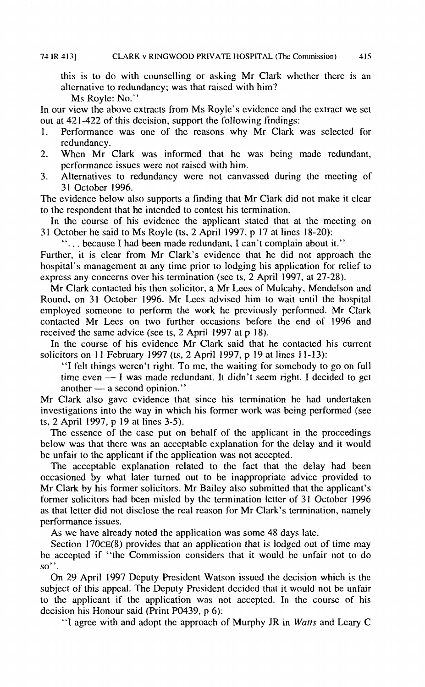alternative to redundancy; was that raised with him? this is to do with counselling or asking Mr Clark whether there is an

Ms Royle: No."

out at  $421-422$  of this decision, support the following findings: In our vicw the abovc cxtracts from MS Royle's cvidcncc and thc cxtract we sct

- 1. Performance was one of the reasons why Mr Clark was selected for rcdundancy.
- 2. Whcn Mr Clark was informcd that he was bcing madc rcdundant, performancc issucs werc not raiscd with him.
- **3.** Alternatives to redundancy wcrc not canvasscd during thc mccting of **3 1** Octobcr 1996.

The cvidcncc below also supports a finding that Mr Clark did not make it clcar to thc rcspondcnt that hc intcndcd to contest his termination.

**3** <sup>I</sup> October hc said to MS Royk (ts, 2 April 1997, p 17 a t lincs 18-20): In thc coursc of his cvidcnce the applicant statcd that at thc mccting on

". .. bccausc I had been made rcdundant, I can't complain about it."

exprcss any concerns over his tcrmination (scc ts, 2 April 1997, at 27-28). hospital's management at any time prior to lodging his application for relief to Further, it is clear from Mr Clark's evidcncc that he did not approach thc

received the same advice (see ts, 2 April 1997 at p 18). contacted Mr Lecs on two further occasions before the end of 1996 and cmployed someone to perform the work he previously performed. Mr Clark Round, on 31 October 1996. Mr Lees advised him to wait until the hospital Mr Clark contacted his then solicitor, a Mr Lees of Mulcahy, Mendelson and

In the course of his evidence Mr Clark said that he contacted his current solicitors on 11 February 1997 (ts, 2 April 1997, p 19 at lines 11-13):

time even  $-1$  was made redundant. It didn't seem right. I decided to get another  $-$  a second opinion." titors on 11 February 1997 (ts, 2 April 1997, p 19 at lines  $11-13$ ):<br>
"I felt things weren't right. To me, the waiting for somebody to go on full<br>
time even  $-$  I was made redundant. It didn't seem right. I decided to ge "I fclt things wcrcn't right. To mc, the waiting for somcbody to go on full

ts, 2 April 1997, *p* 19 at lines 3-5). investigations into the way in which his former work was being performed (see Mr Clark also gavc evidence that sincc his tcmination hc had undcrtakcn

be unfair to the applicant if the application was not accepted. below was that there was an acceptable explanation for the delay and it would The essence of the case put on behalf of the applicant in the proceedings

pcrformance issues. as that letter did not disclose the real reason for Mr Clark's termination, namely former solicitors had bcen mislcd by the termination lctter of **3** <sup>I</sup> Octobcr 1996 Mr Clark by his former solicitors.Mr Bailcy also submittcd that thc applicant's occasioncd by what latcr turned out to be inappropriatc advicc provided to The acccptablc explanation rclatcd to the fact that the delay had been

As we have already noted the application was some 48 days late.

 $so$ ". be accepted if "the Commission considers that it would be unfair not to do Section  $170~C>E(8)$  provides that an application that is lodged out of time may

dccision his Honour said (Print **PO439, p** 6): to the applicant if the application was not accepted. In the course of his subject of this appeal. The Deputy President decided that it would not be unfair On 29 April 1997 Dcputy Prcsidcnt Watson issucd thc dccision which is thc

"I agree with and adopt the approach of Murphy JR in *Watts* and Leary C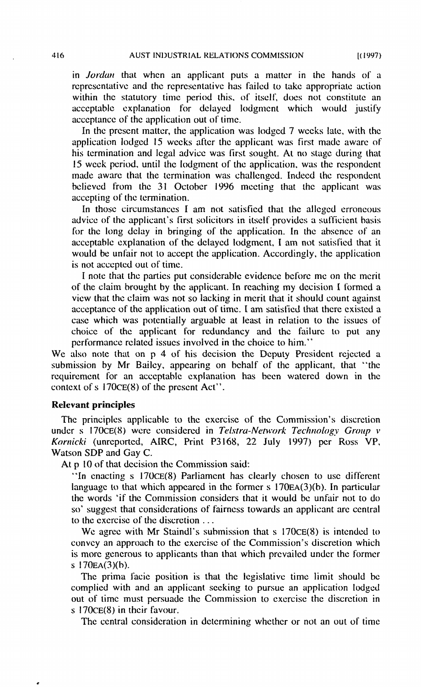acceptance of the application out of timc. acceptablc cxplanation for delayed lodgment which would justify within the statutory time period this, of itself, does not constitute an representative and the representative has failed to take appropriate action in *Jordan* that when an applicant puts a matter in the hands of a

acccpting of the termination. believed from the 31 October 1996 meeting that the applicant was made awarc that the termination was challcnged. Indeed thc respondcnt 15 weck period, until the lodgment of the application, was the respondent his termination and legal advice was first sought. At no stagc during that application lodged 15 weeks after the applicant was first made aware of In the present matter, the application was lodgcd 7 wccks late, with the

is not acccptcd out of time. would be unfair not to accept the application. Accordingly. the application acceptable explanation of the delayed lodgment, I am not satisfied that it for the long delay in bringing of the application. In the absence of an advice of the applicant's first solicitors in itself provides a sufficient basis In those circumstances I am not satisfied that the alleged erroneous

performance related issues involved in the choice to him." choicc of the applicant for rcdundancy and thc failurc to put any case which was potentially arguable at least in relation to the issues of acceptance of the application out of time. I am satisfied that there existed a view that the claim was not so lacking in merit that it should count against of the claim brought by the applicant. In reaching my decision I formed a I note that the parties put considcrablc evidence bcforc me on thc merit

context of  $s$  170 $CE(8)$  of the present Act". requirement for an acceptable cxplanation has bccn watcred down in thc submission by Mr Bailey, appearing on bchalf of the applicant, that "thc We also note that on p 4 of his decision the Deputy President rejected a

## **Relevant principles**

Watson SDP and Gay **C.** *Komicki* (unrcported, AIRC, Print **P3 168,** 22 July 1997) per Ross **VP,** under s 170CE(8) were considered in *Telstra-Network Technology Group v* The principles applicable to thc cxercisc of thc Commission's discretion

At p 10 of that decision the Commission said:

to the exercise of the discretion ... so' suggest that considerations of fairness towards an applicant are central the words 'if the Commission considers that it would be unfair not to do language to that which appeared in the former  $s$  170EA(3)(b). In particular "In enacting s 170CE(8) Parliament has clearly chosen to use different

S **<sup>1</sup>** 70EA(3)(h). is more generous to applicants than that which prevailed under the former convey an approach to thc cxcrcisc of the Commission's discretion which We agree with Mr Staindl's submission that s 170CE(8) is intended to

s 170CE(8) in their favour. out of time must persuade the Commission to exercise the discretion in complied with and an applicant sccking to pursue an application lodgcd The prima facie position is that the legislative time limit should be

The central consideration in dctcrmining whcther or not an out of time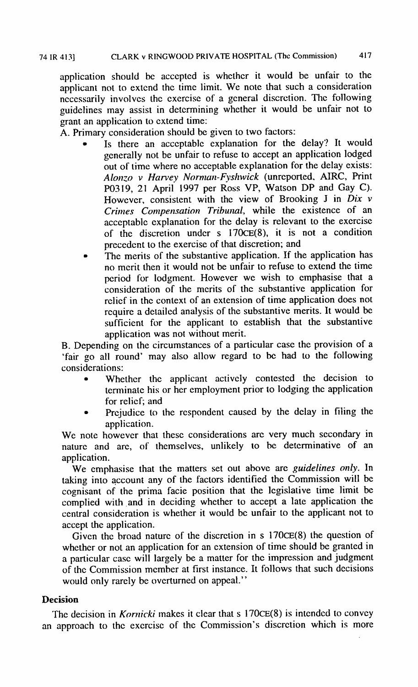grant an application to cxtend time: guidelines may assist in detcrmining whether it would be unfair not to ncccssariiy involvcs thc cxercise of a gcneral discrction. Thc following applicant not to extend the time limit. We note that such a consideration application should be acccptcd is whethcr it would be unfair to the

**A.** Primary consideration should be given to two factors:

- precedcnt to the exercise of that discretion; and of the discretion under s  $170CE(8)$ , it is not a condition acceptable explanation for the delay is relevant to the exercise *Crimes Cmpematim Trihmnl,* while the existence of an Howevcr, consistent with thc view of Brooking **J** in *Dix <sup>v</sup>* **PO3 19,** 21 April 1997 per Ross VP, Watson DP and Gay C). *A lonzo <sup>v</sup> Hm-vey Normun-Fyshvick* (unreported, AIRC, Print out of time where no acceptable explanation for the delay exists: gcnerally not be unfair to refuse to accept an application lodged Is there an acceptable explanation for the delay? It would
- application was not without merit. sufficient for the applicant to establish that the substantive rcquire a detailed analysis of the substantive merits. It would be relief in the context of an extension of time application does not consideration of the mcrits of thc substantive application for pcriod for lodgment. However we wish to emphasise that a no mcrit then it would not be unfair to refuse to extend the time The merits of the substantive application. If the application has

considerations: 'fair go all round' may also allow regard to be had to the following B. Depending on the circumstances of a particular case the provision of a

- for relicf; and terminate his or her employment prior to lodging the application Whether the applicant actively contested the decision to
- Prejudice to the respondent caused by the delay in filing the application.

application. naturc and arc, of themselves, unlikely to be determinative of an We note however that these considerations are very much secondary in

accept the application. central consideration is whether it would be unfair to the applicant not to complied with and in deciding whether to accept a late application the cognisant of the prima facie position that the legislative time limit be taking into account any of the factors identified the Commission will be We cmphasise that the matters set out above are *guidelines ody.* In

would only rarely be overturned on appeal." of the Commission member at first instance. It follows that such decisions a particular casc will largely be a matter for thc impression and judgment whether or not an application for an extension of time should be granted in Given the broad nature of the discretion in  $s$  170 $CE(8)$  the question of

# **Decision**

an approach to thc excrcisc of the Commission's discrction which is more The decision in *Kornicki* makes it clear that s 170CE(8) is intended to convey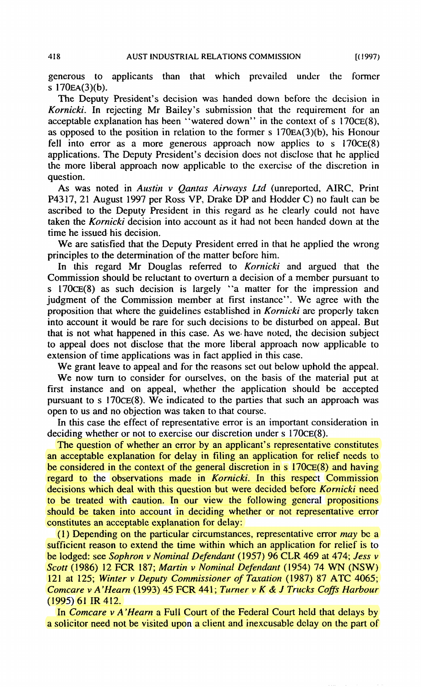S **<sup>1</sup>**70EA(3)(b). generous to applicants than that which prcvailed under the former

question. the more liberal approach now applicable to the exercise of the discretion in applications.The Deputy President's decision docs not disclose that hc applied fell into error as a more generous approach now applies to s  $170CE(8)$ as opposed to the position in relation to the former **<sup>S</sup>** 170EA(3)(b), his Honour acceptable explanation has been "watered down" in the context of *s* 170CE(8). *Kornicki*. In rejecting Mr Bailey's submission that the requirement for an The Deputy President's decision was handed down before the decision in

time he issued his decision. taken the *Kornicki* decision into account as it had not been handed down at the ascribed to the Deputy President in this regard as he clearly could not have **P43** 17'2**l** August 1997 per Ross **VP,** Drake DP and Hodder **C)** no fault can be As was noted in *Austin v Oantas Airways Ltd* (unreported, AIRC, Print

principles to the determination of the matter bcforc him. We are satisfied that the Deputy President erred in that he applied the wrong

extension of time applications was in fact applied in this case. to appeal does not disclose that the more liberal approach now applicable to that is not what happened in this case. As we have noted, the decision subject into account it would be rare for such decisions to be disturbed on appeal. But proposition that where the guidelines established in *Komicki* are propcrly taken judgment of the Commission member at first instance". We agree with the *S* 170 $CE(8)$  as such decision is largely "a matter for the impression and Commission should be reluctant to overturn a decision of a member pursuant to In this regard Mr Douglas referred to *Kornicki* and argued that the

We grant leave to appeal and for the reasons set out below uphold the appeal.

pursuant to  $s$   $170CE(8)$ . We indicated to the parties that such an approach was first instance and on appeal, whether the application should be accepted We now turn to consider for ourselves, on the basis of the material put at open to us and no objection was taken to that coursc.

deciding whether or not to exercise our discretion under s 170CE(8). In this case the effect of representative error is an important consideration in

constitutes an acceptable explanation For delay: should be taken into account in deciding whether or not representative error to **be** treated with caution, In our view the following general propositions decisions which deal with this question but were dccided before *Kornicki* need regard to the observations made in *Kornicki*. In this respect Commission be considered in the context of the general discretion in  $s$  170 $CE(8)$  and having an acceptable explanation for delay in filing an application for relief nceds to The question of whether an error by an applicant's representative constitutes

**(19%)** 61 IR 412. *Comcare v A'Hearn* (1993) 45 *FCR* 441; *Turner v K & J Trucks Coffs Harbour* 121 at 125; *Winter v Deputy Commissioner of Taxation* (1987) 87 ATC 4065; *Scott* (1986) <sup>12</sup> FCR 187; *Martin <sup>v</sup> Nominul Defendunt* (1954) *<sup>74</sup>* W **(NSW)** be lodged: see *Sophron v Nominal Defendant* (1957) 96 CLR 469 at 474; *Jess v* sufficient reason to extend the time within which an application for relief is to (1) Depending on the particular circumstances, representative error *may* be a

a solicitor need not be visited upon a client and inexcusable dclay on the part of In *Comcare v A 'Hearn* a Full Court of the Federal Court held that delays by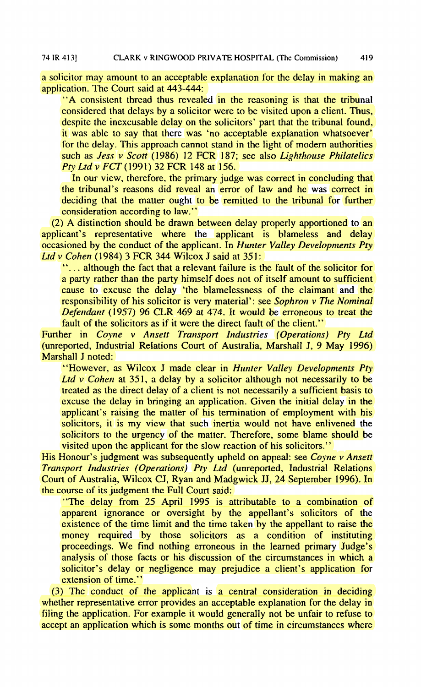a solicitor may amount to an acceptable explanation for the delay in making an application.Thc Court said at **443-444:**

*Pry Ltd <sup>V</sup> K T* **(1991)32 FCR 148 at 156.** such as *Jess v Scott* (1986) 12 FCR 187; see also *Lighthouse Philutelics* for the delay. This approach cannot stand in the light of modern authorities it was able to say that there was 'no acceptable explanation whatsoever' despite the inexcusable delay on the solicitors' part that the tribunal found, considered that delays by a solicitor were to be visited upon a client. Thus, "A consistcnt thread thus revealed in the reasoning is that the tribunal

consideration according to law." deciding that the matter ought to be remitted to the tribunal for further the tribunal's reasons did revea1 an error of law and hc was correct in In our view, therefore, the primary judge was correct in concluding that

*Ltd <sup>v</sup> Cohen* ( 1 **984) 3 FCR 344** Wilcox J said at 351 : occasioned by the conduct of the applicant. In *Hunter Valky Developments Pty* applicant's representative where the applicant is blameless and delay (2')**A** distinction should be drawn between delay properly apportioned to an

fault of the solicitors as if it were the direct fault of the client." *Defendant* (1957) 96 **CLR 469** at 474. It would be erroneous to treat the responsibility of his solicitor is very material': see *Sophron v The Nominal* cause to cxcuse the delay 'the blamelessness of the claimant and the a party rather than the party himself does not of itself amount to sufficient "... although the fact that a relevant failure is the fault of the solicitor for

Marshall J noted: (unreported,Industrial ReIations Court of Australia, Marshal1 J, *9* May **1996) Further in** *Coyne v* **Ansett Transport Industries (Operations) Pty Ltd** 

visited upon thc applicant for the slow reaction of his solicitors." solicitors to the urgency of the matter. Therefore, some blame should be solicitors, it is my view that such inertia would not have enlivened the applicant's raising the matter of his termination of employment with his excuse the delay in bringing an application. Given the initial delay in the trcated as the direct delay of a client is not necessarily a sufficient basis to *Ltd v Cohen* at **351,** a delay by a solicitor although not necessarily to be "However, as Wilcox J made clear in *Hunter Valley Developments Pty*

the course of its judgment the Full Court said: Court of Australia, Wilcox CJ, Ryan and Madgwick JJ, 24 September **1996).**In *7'n.mspwr hdmtries (Operuriom) Pry Lrd* (unreported, hdustrial Relations His Honour's judgment was subsequently upheld on appeal: see *Coyne v Ansett* 

extension of time." solicitor's delay or negligence may prejudice a client's application for analysis of those facts or his discussion of the circumstances in which a proceedings. We find nothing erroneous in the learned primary Judge's money required by those solicitors as a condition of instituting existence of the time limit and the time taken by the appellant to raise the apparent ignorance or oversight by the appellant's solicitors of the "The delay from **25** April 1995 is attributable to a combination of

accept an application which is some months out of time in circumstances where filing the application. For example it would generally not be unfair to refuse to whether representative error provides an acceptable explanation for the delay in (3) The conduct of the applicant is a central consideration in deciding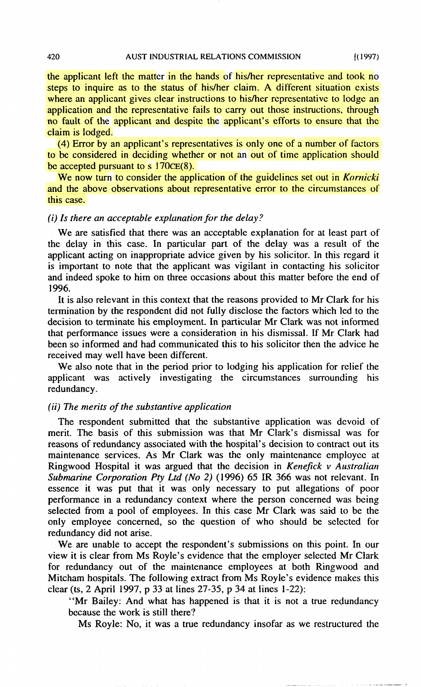claim is lodged. no fault of the applicant and despite the applicant's efforts to ensure that the application and thc representative fails to carry out those instructions, through where an applicant gives clear instructions to his/her representative to lodge an steps to inquire as to the status of his/her claim. A different situation exists the applicant left the matter in the hands of his/her representative and took no

be accepted pursuant to  $\overline{s}$  170 $CE(8)$ . to be considered in deciding whether or not an out of time application should (4) Error by an applicant's representatives is only one of a number of factors

this case. and the above observations about representative error to the circumstances of We now turn to consider the application of the guidelines set out in *Kornicki* 

## *(i)Is there m acceptable explmation for the dduy?*

1996. and indeed spoke to him on three occasions about this matter before the end of is important to note that the applicant was vigilant in contacting his solicitor applicant acting on inappropriate advice given by his solicitor. In this regard it the delay in this case. In particular part of the delay was a result of the We are satisfied that there was an acceptable explanation for at least part of

received may well have been differcnt. been so informed and had communicated this to his solicitor then the advice he that performance issues were a consideration in his dismissal. If Mr Clark had decision to terminate his employment.In particular Mr Clark was not informed termination by the respondent did not fully disclose the factors which led to the It is also relevant in this context that the reasons provided to Mr Clark for his

redundancy. applicant was actively investigating the circumstances surrounding his We also note that in the period prior to lodging his application for relief the

## *(ii) The merits of the substantive appliccrtion*

redundancy did not arise. only employee concerned, so the question of who should be sclected for selected from a pool of employees. In this case Mr Clark was sad to be the performance in a redundancy context where the person concerned was being essence it was put that it was only necessary to put allegations of poor *Submarine Corporation Pty Ltd (No 2)* (1996) 65 IR 366 was not relevant. In Ringwood Hospital it was argued that the decision in *Kenefick v Australian* maintenance services. As Mr Clark was the only maintcnance employce at reasons of redundancy associated with the hospital's decision to contract out its merit. The basis of this submission was that Mr Clark's dismissal was for The respondent submitted that thc substantive application was dcvoid of

clear (ts, 2 April 1997, p **33** at lines 27-35, p 34 at lines 1-22): Mitcham hospitals. The following extract from Ms Royle's evidence makes this for redundancy out of the maintenance employees at both Ringwood and view it is clear from Ms Royle's evidence that the employer selected Mr Clark We are unable to accept the respondent's submissions on this point. In our

bccause the work is still there? "Mr Bailey: And what has happened is that it is not a true redundancy

MS Royle: No, it was a true redundancy insofar as we restructured the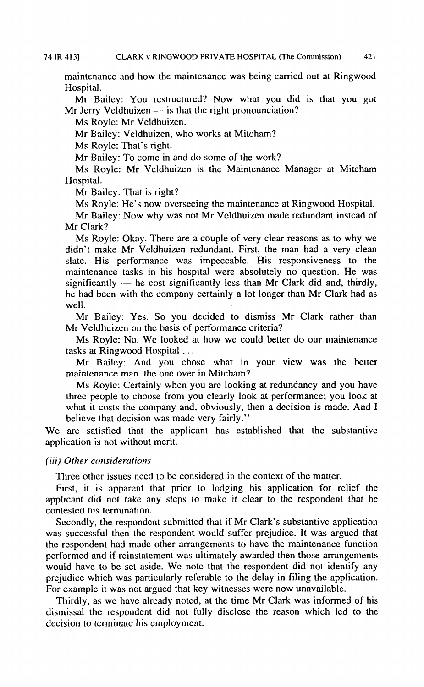Hospital. maintenancc and how the maintcnancc was being carried out at Ringwood

Mr Bailey: You rcstructurcd? Now what you did is that you got Mr Jerry Veldhuizen  $-$  is that the right pronounciation?

**MS**Roylc: Mr Veldhuizcn.

Mr Bailey: Veldhuizcn, who works at Mitcham'?

**MS**Royle: That's right.

Mr Bailey: To come in and do some of the work?

MS Royle: Mr Veldhuizcn is the Maintenance Managcr at Mitcham Hospital.

Mr Bailey: That is right?

Ms Royle: He's now ovcrsecing the maintenance at Ringwood Hospital.

Mr Bailcy: Now why was not Mr Vcldhuizcn madc rcdundant instcad of Mr Clark?

well. he had been with thc company ccrtainly a lot longer than Mr Clark had as slate. His performance was impeccable. His responsiveness to the maintenance tasks in his hospital were absolutely no question. He was significantly — he cost significantly less than Mr Clark did and, thirdly, he had been maintenance tasks in his hospital were absolutely no question. He was significantly  $-$  he cost significantly less than Mr Clark did and, thirdly, didn't make Mr Vcldhuizcn redundant. First, the man had a very clean Ms Royle: Okay. There are a couple of very clear reasons as to why we

Mr Veldhuizen on the basis of performance criteria? Mr Bailcy: Yes. So you dccidcd to dismiss Mr Clark rather than

tasks at Ringwood Hospital .. . Ms Royle: No. We looked at how we could better do our maintenance

maintenance man, the one over in Mitcham? Mr Bailey: And you chose what in your view was the better

believe that decision was made very fairly." what it costs the company and, obviously, then a decision is made. And I thrcc people to choose from you clearly look at performancc; you look at Ms Royle: Certainly when you are looking at redundancy and you have

application is not without merit. WC arc satisfied that hc applicant has established that thc substantivc

## *(iii) Other considerations*

Three other issues need to be considered in the context of the matter.

contested his tcrmination. applicant did not take any steps to make it clear to the respondent that he First, it is apparent that prior to lodging his application for relief the

For cxamplc it was not argued that kcy witncsscs were now unavailable. prejudice which was particularly referable to the delay in filing the application. would have to be set aside. We note that the respondent did not identify any pcrformcd and if rcinstatcment was ultimatcly awarded then those arrangcments the respondent had made other arrangements to have the maintenance function was successful then the respondent would suffer prejudice. It was argued that Secondly, the respondent submitted that if Mr Clark's substantive application

decision to tcrminatc his cmploymcnt. dismissal the respondcnt did not fully disclose the reason which led to the Thirdly, as we have already noted, at the time Mr Clark was informed of his